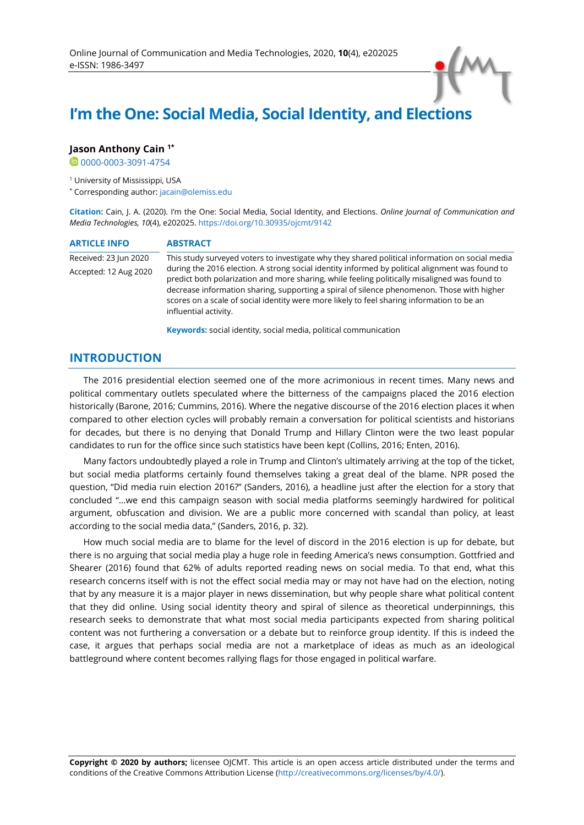

# **I'm the One: Social Media, Social Identity, and Elections**

### **Jason Anthony Cain 1\***

0[0000-0003-3091-4754](https://orcid.org/0000-0003-3091-4754)

<sup>1</sup> University of Mississippi, USA

\* Corresponding author: [jacain@olemiss.edu](mailto:jacain@olemiss.edu)

**Citation:** Cain, J. A. (2020). I'm the One: Social Media, Social Identity, and Elections. *Online Journal of Communication and Media Technologies, 10*(4), e202025. <https://doi.org/10.30935/ojcmt/9142>

| <b>ARTICLE INFO</b>   | <b>ABSTRACT</b>                                                                                                                                                                                                                                                                                                                                                                                                       |
|-----------------------|-----------------------------------------------------------------------------------------------------------------------------------------------------------------------------------------------------------------------------------------------------------------------------------------------------------------------------------------------------------------------------------------------------------------------|
| Received: 23 Jun 2020 | This study surveyed voters to investigate why they shared political information on social media                                                                                                                                                                                                                                                                                                                       |
| Accepted: 12 Aug 2020 | during the 2016 election. A strong social identity informed by political alignment was found to<br>predict both polarization and more sharing, while feeling politically misaligned was found to<br>decrease information sharing, supporting a spiral of silence phenomenon. Those with higher<br>scores on a scale of social identity were more likely to feel sharing information to be an<br>influential activity. |

**Keywords:** social identity, social media, political communication

# **INTRODUCTION**

The 2016 presidential election seemed one of the more acrimonious in recent times. Many news and political commentary outlets speculated where the bitterness of the campaigns placed the 2016 election historically (Barone, 2016; Cummins, 2016). Where the negative discourse of the 2016 election places it when compared to other election cycles will probably remain a conversation for political scientists and historians for decades, but there is no denying that Donald Trump and Hillary Clinton were the two least popular candidates to run for the office since such statistics have been kept (Collins, 2016; Enten, 2016).

Many factors undoubtedly played a role in Trump and Clinton's ultimately arriving at the top of the ticket, but social media platforms certainly found themselves taking a great deal of the blame. NPR posed the question, "Did media ruin election 2016?" (Sanders, 2016), a headline just after the election for a story that concluded "…we end this campaign season with social media platforms seemingly hardwired for political argument, obfuscation and division. We are a public more concerned with scandal than policy, at least according to the social media data," (Sanders, 2016, p. 32).

How much social media are to blame for the level of discord in the 2016 election is up for debate, but there is no arguing that social media play a huge role in feeding America's news consumption. Gottfried and Shearer (2016) found that 62% of adults reported reading news on social media. To that end, what this research concerns itself with is not the effect social media may or may not have had on the election, noting that by any measure it is a major player in news dissemination, but why people share what political content that they did online. Using social identity theory and spiral of silence as theoretical underpinnings, this research seeks to demonstrate that what most social media participants expected from sharing political content was not furthering a conversation or a debate but to reinforce group identity. If this is indeed the case, it argues that perhaps social media are not a marketplace of ideas as much as an ideological battleground where content becomes rallying flags for those engaged in political warfare.

**Copyright © 2020 by authors;** licensee OJCMT. This article is an open access article distributed under the terms and conditions of the Creative Commons Attribution License [\(http://creativecommons.org/licenses/by/4.0/\).](http://creativecommons.org/licenses/by/4.0/)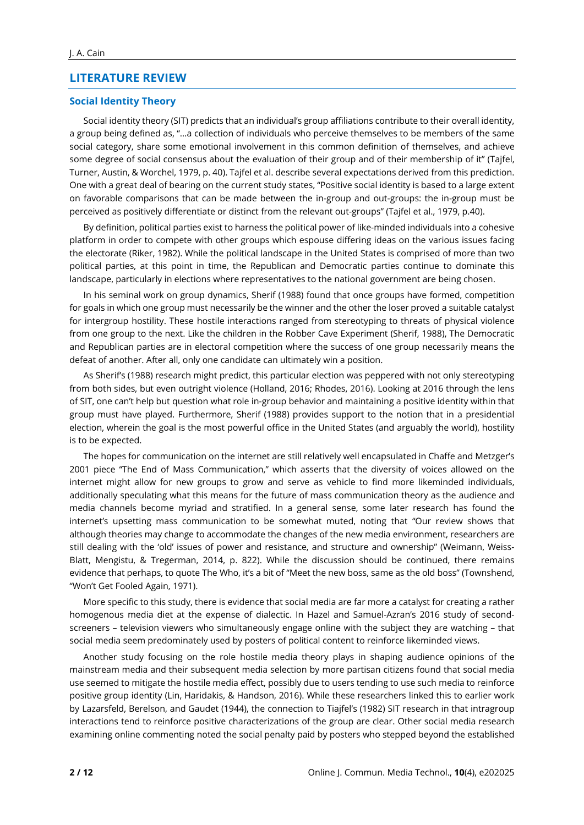# **LITERATURE REVIEW**

## **Social Identity Theory**

Social identity theory (SIT) predicts that an individual's group affiliations contribute to their overall identity, a group being defined as, "…a collection of individuals who perceive themselves to be members of the same social category, share some emotional involvement in this common definition of themselves, and achieve some degree of social consensus about the evaluation of their group and of their membership of it" (Tajfel, Turner, Austin, & Worchel, 1979, p. 40). Tajfel et al. describe several expectations derived from this prediction. One with a great deal of bearing on the current study states, "Positive social identity is based to a large extent on favorable comparisons that can be made between the in-group and out-groups: the in-group must be perceived as positively differentiate or distinct from the relevant out-groups" (Tajfel et al., 1979, p.40).

By definition, political parties exist to harness the political power of like-minded individuals into a cohesive platform in order to compete with other groups which espouse differing ideas on the various issues facing the electorate (Riker, 1982). While the political landscape in the United States is comprised of more than two political parties, at this point in time, the Republican and Democratic parties continue to dominate this landscape, particularly in elections where representatives to the national government are being chosen.

In his seminal work on group dynamics, Sherif (1988) found that once groups have formed, competition for goals in which one group must necessarily be the winner and the other the loser proved a suitable catalyst for intergroup hostility. These hostile interactions ranged from stereotyping to threats of physical violence from one group to the next. Like the children in the Robber Cave Experiment (Sherif, 1988), The Democratic and Republican parties are in electoral competition where the success of one group necessarily means the defeat of another. After all, only one candidate can ultimately win a position.

As Sherif's (1988) research might predict, this particular election was peppered with not only stereotyping from both sides, but even outright violence (Holland, 2016; Rhodes, 2016). Looking at 2016 through the lens of SIT, one can't help but question what role in-group behavior and maintaining a positive identity within that group must have played. Furthermore, Sherif (1988) provides support to the notion that in a presidential election, wherein the goal is the most powerful office in the United States (and arguably the world), hostility is to be expected.

The hopes for communication on the internet are still relatively well encapsulated in Chaffe and Metzger's 2001 piece "The End of Mass Communication," which asserts that the diversity of voices allowed on the internet might allow for new groups to grow and serve as vehicle to find more likeminded individuals, additionally speculating what this means for the future of mass communication theory as the audience and media channels become myriad and stratified. In a general sense, some later research has found the internet's upsetting mass communication to be somewhat muted, noting that "Our review shows that although theories may change to accommodate the changes of the new media environment, researchers are still dealing with the 'old' issues of power and resistance, and structure and ownership" (Weimann, Weiss-Blatt, Mengistu, & Tregerman, 2014, p. 822). While the discussion should be continued, there remains evidence that perhaps, to quote The Who, it's a bit of "Meet the new boss, same as the old boss" (Townshend, "Won't Get Fooled Again, 1971).

More specific to this study, there is evidence that social media are far more a catalyst for creating a rather homogenous media diet at the expense of dialectic. In Hazel and Samuel-Azran's 2016 study of secondscreeners – television viewers who simultaneously engage online with the subject they are watching – that social media seem predominately used by posters of political content to reinforce likeminded views.

Another study focusing on the role hostile media theory plays in shaping audience opinions of the mainstream media and their subsequent media selection by more partisan citizens found that social media use seemed to mitigate the hostile media effect, possibly due to users tending to use such media to reinforce positive group identity (Lin, Haridakis, & Handson, 2016). While these researchers linked this to earlier work by Lazarsfeld, Berelson, and Gaudet (1944), the connection to Tiajfel's (1982) SIT research in that intragroup interactions tend to reinforce positive characterizations of the group are clear. Other social media research examining online commenting noted the social penalty paid by posters who stepped beyond the established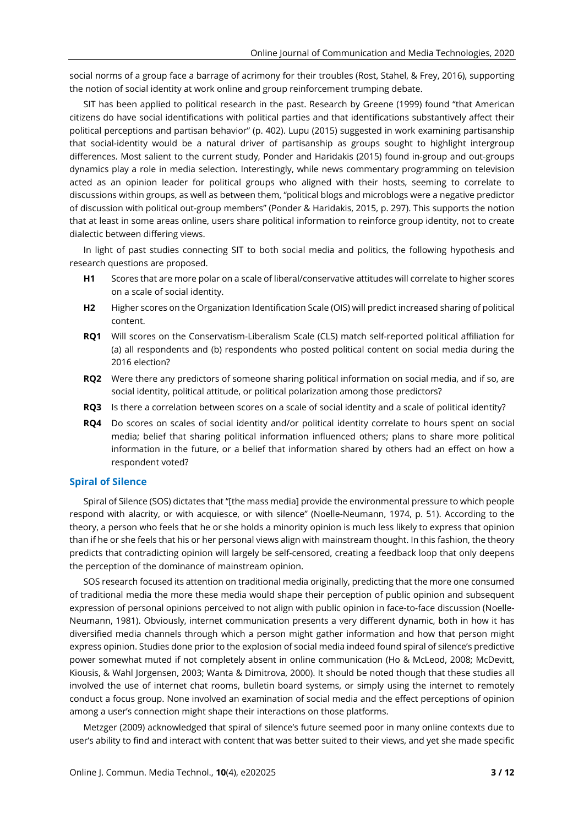social norms of a group face a barrage of acrimony for their troubles (Rost, Stahel, & Frey, 2016), supporting the notion of social identity at work online and group reinforcement trumping debate.

SIT has been applied to political research in the past. Research by Greene (1999) found "that American citizens do have social identifications with political parties and that identifications substantively affect their political perceptions and partisan behavior" (p. 402). Lupu (2015) suggested in work examining partisanship that social-identity would be a natural driver of partisanship as groups sought to highlight intergroup differences. Most salient to the current study, Ponder and Haridakis (2015) found in-group and out-groups dynamics play a role in media selection. Interestingly, while news commentary programming on television acted as an opinion leader for political groups who aligned with their hosts, seeming to correlate to discussions within groups, as well as between them, "political blogs and microblogs were a negative predictor of discussion with political out-group members" (Ponder & Haridakis, 2015, p. 297). This supports the notion that at least in some areas online, users share political information to reinforce group identity, not to create dialectic between differing views.

In light of past studies connecting SIT to both social media and politics, the following hypothesis and research questions are proposed.

- **H1** Scores that are more polar on a scale of liberal/conservative attitudes will correlate to higher scores on a scale of social identity.
- **H2** Higher scores on the Organization Identification Scale (OIS) will predict increased sharing of political content.
- **RQ1** Will scores on the Conservatism-Liberalism Scale (CLS) match self-reported political affiliation for (a) all respondents and (b) respondents who posted political content on social media during the 2016 election?
- **RQ2** Were there any predictors of someone sharing political information on social media, and if so, are social identity, political attitude, or political polarization among those predictors?
- **RQ3** Is there a correlation between scores on a scale of social identity and a scale of political identity?
- **RQ4** Do scores on scales of social identity and/or political identity correlate to hours spent on social media; belief that sharing political information influenced others; plans to share more political information in the future, or a belief that information shared by others had an effect on how a respondent voted?

#### **Spiral of Silence**

Spiral of Silence (SOS) dictates that "[the mass media] provide the environmental pressure to which people respond with alacrity, or with acquiesce, or with silence" (Noelle-Neumann, 1974, p. 51). According to the theory, a person who feels that he or she holds a minority opinion is much less likely to express that opinion than if he or she feels that his or her personal views align with mainstream thought. In this fashion, the theory predicts that contradicting opinion will largely be self-censored, creating a feedback loop that only deepens the perception of the dominance of mainstream opinion.

SOS research focused its attention on traditional media originally, predicting that the more one consumed of traditional media the more these media would shape their perception of public opinion and subsequent expression of personal opinions perceived to not align with public opinion in face-to-face discussion (Noelle-Neumann, 1981). Obviously, internet communication presents a very different dynamic, both in how it has diversified media channels through which a person might gather information and how that person might express opinion. Studies done prior to the explosion of social media indeed found spiral of silence's predictive power somewhat muted if not completely absent in online communication (Ho & McLeod, 2008; McDevitt, Kiousis, & Wahl Jorgensen, 2003; Wanta & Dimitrova, 2000). It should be noted though that these studies all involved the use of internet chat rooms, bulletin board systems, or simply using the internet to remotely conduct a focus group. None involved an examination of social media and the effect perceptions of opinion among a user's connection might shape their interactions on those platforms.

Metzger (2009) acknowledged that spiral of silence's future seemed poor in many online contexts due to user's ability to find and interact with content that was better suited to their views, and yet she made specific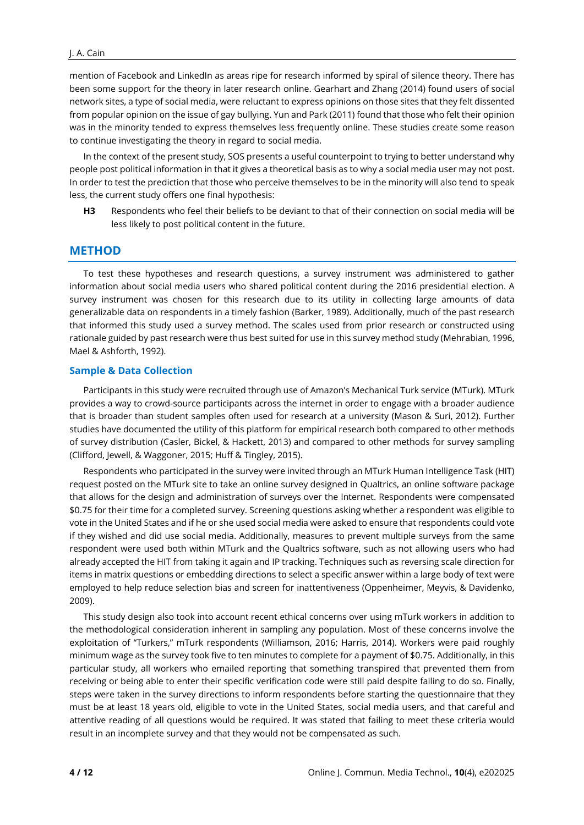mention of Facebook and LinkedIn as areas ripe for research informed by spiral of silence theory. There has been some support for the theory in later research online. Gearhart and Zhang (2014) found users of social network sites, a type of social media, were reluctant to express opinions on those sites that they felt dissented from popular opinion on the issue of gay bullying. Yun and Park (2011) found that those who felt their opinion was in the minority tended to express themselves less frequently online. These studies create some reason to continue investigating the theory in regard to social media.

In the context of the present study, SOS presents a useful counterpoint to trying to better understand why people post political information in that it gives a theoretical basis as to why a social media user may not post. In order to test the prediction that those who perceive themselves to be in the minority will also tend to speak less, the current study offers one final hypothesis:

**H3** Respondents who feel their beliefs to be deviant to that of their connection on social media will be less likely to post political content in the future.

## **METHOD**

To test these hypotheses and research questions, a survey instrument was administered to gather information about social media users who shared political content during the 2016 presidential election. A survey instrument was chosen for this research due to its utility in collecting large amounts of data generalizable data on respondents in a timely fashion (Barker, 1989). Additionally, much of the past research that informed this study used a survey method. The scales used from prior research or constructed using rationale guided by past research were thus best suited for use in this survey method study (Mehrabian, 1996, Mael & Ashforth, 1992).

## **Sample & Data Collection**

Participants in this study were recruited through use of Amazon's Mechanical Turk service (MTurk). MTurk provides a way to crowd-source participants across the internet in order to engage with a broader audience that is broader than student samples often used for research at a university (Mason & Suri, 2012). Further studies have documented the utility of this platform for empirical research both compared to other methods of survey distribution (Casler, Bickel, & Hackett, 2013) and compared to other methods for survey sampling (Clifford, Jewell, & Waggoner, 2015; Huff & Tingley, 2015).

Respondents who participated in the survey were invited through an MTurk Human Intelligence Task (HIT) request posted on the MTurk site to take an online survey designed in Qualtrics, an online software package that allows for the design and administration of surveys over the Internet. Respondents were compensated \$0.75 for their time for a completed survey. Screening questions asking whether a respondent was eligible to vote in the United States and if he or she used social media were asked to ensure that respondents could vote if they wished and did use social media. Additionally, measures to prevent multiple surveys from the same respondent were used both within MTurk and the Qualtrics software, such as not allowing users who had already accepted the HIT from taking it again and IP tracking. Techniques such as reversing scale direction for items in matrix questions or embedding directions to select a specific answer within a large body of text were employed to help reduce selection bias and screen for inattentiveness (Oppenheimer, Meyvis, & Davidenko, 2009).

This study design also took into account recent ethical concerns over using mTurk workers in addition to the methodological consideration inherent in sampling any population. Most of these concerns involve the exploitation of "Turkers," mTurk respondents (Williamson, 2016; Harris, 2014). Workers were paid roughly minimum wage as the survey took five to ten minutes to complete for a payment of \$0.75. Additionally, in this particular study, all workers who emailed reporting that something transpired that prevented them from receiving or being able to enter their specific verification code were still paid despite failing to do so. Finally, steps were taken in the survey directions to inform respondents before starting the questionnaire that they must be at least 18 years old, eligible to vote in the United States, social media users, and that careful and attentive reading of all questions would be required. It was stated that failing to meet these criteria would result in an incomplete survey and that they would not be compensated as such.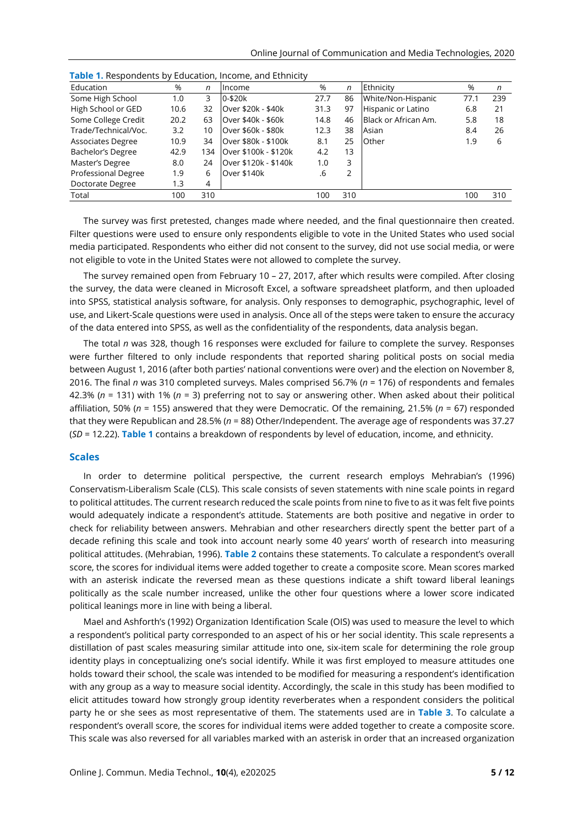| Education            | %    | n   | Income               | %    | n   | Ethnicity            | %    | n   |
|----------------------|------|-----|----------------------|------|-----|----------------------|------|-----|
| Some High School     | 1.0  | 3   | $0 - $20k$           | 27.7 | 86  | White/Non-Hispanic   | 77.1 | 239 |
| High School or GED   | 10.6 | 32  | Over \$20k - \$40k   | 31.3 | 97  | Hispanic or Latino   | 6.8  | 21  |
| Some College Credit  | 20.2 | 63  | Over \$40k - \$60k   | 14.8 | 46  | Black or African Am. | 5.8  | 18  |
| Trade/Technical/Voc. | 3.2  | 10  | Over \$60k - \$80k   | 12.3 | 38  | Asian                | 8.4  | 26  |
| Associates Degree    | 10.9 | 34  | Over \$80k - \$100k  | 8.1  | 25  | Other                | 1.9  | 6   |
| Bachelor's Degree    | 42.9 | 134 | Over \$100k - \$120k | 4.2  | 13  |                      |      |     |
| Master's Degree      | 8.0  | 24  | Over \$120k - \$140k | 1.0  | 3   |                      |      |     |
| Professional Degree  | 1.9  | 6   | Over \$140k          | .6   | 2   |                      |      |     |
| Doctorate Degree     | 1.3  | 4   |                      |      |     |                      |      |     |
| Total                | 100  | 310 |                      | 100  | 310 |                      | 100  | 310 |

**Table 1.** Respondents by Education, Income, and Ethnicity

The survey was first pretested, changes made where needed, and the final questionnaire then created. Filter questions were used to ensure only respondents eligible to vote in the United States who used social media participated. Respondents who either did not consent to the survey, did not use social media, or were not eligible to vote in the United States were not allowed to complete the survey.

The survey remained open from February 10 – 27, 2017, after which results were compiled. After closing the survey, the data were cleaned in Microsoft Excel, a software spreadsheet platform, and then uploaded into SPSS, statistical analysis software, for analysis. Only responses to demographic, psychographic, level of use, and Likert-Scale questions were used in analysis. Once all of the steps were taken to ensure the accuracy of the data entered into SPSS, as well as the confidentiality of the respondents, data analysis began.

The total *n* was 328, though 16 responses were excluded for failure to complete the survey. Responses were further filtered to only include respondents that reported sharing political posts on social media between August 1, 2016 (after both parties' national conventions were over) and the election on November 8, 2016. The final *n* was 310 completed surveys. Males comprised 56.7% (*n =* 176) of respondents and females 42.3% (*n* = 131) with 1% (*n* = 3) preferring not to say or answering other. When asked about their political affiliation, 50% (*n* = 155) answered that they were Democratic. Of the remaining, 21.5% (*n* = 67) responded that they were Republican and 28.5% (*n* = 88) Other/Independent. The average age of respondents was 37.27 (*SD* = 12.22). **Table 1** contains a breakdown of respondents by level of education, income, and ethnicity.

#### **Scales**

In order to determine political perspective, the current research employs Mehrabian's (1996) Conservatism-Liberalism Scale (CLS). This scale consists of seven statements with nine scale points in regard to political attitudes. The current research reduced the scale points from nine to five to as it was felt five points would adequately indicate a respondent's attitude. Statements are both positive and negative in order to check for reliability between answers. Mehrabian and other researchers directly spent the better part of a decade refining this scale and took into account nearly some 40 years' worth of research into measuring political attitudes. (Mehrabian, 1996). **Table 2** contains these statements. To calculate a respondent's overall score, the scores for individual items were added together to create a composite score. Mean scores marked with an asterisk indicate the reversed mean as these questions indicate a shift toward liberal leanings politically as the scale number increased, unlike the other four questions where a lower score indicated political leanings more in line with being a liberal.

Mael and Ashforth's (1992) Organization Identification Scale (OIS) was used to measure the level to which a respondent's political party corresponded to an aspect of his or her social identity. This scale represents a distillation of past scales measuring similar attitude into one, six-item scale for determining the role group identity plays in conceptualizing one's social identify. While it was first employed to measure attitudes one holds toward their school, the scale was intended to be modified for measuring a respondent's identification with any group as a way to measure social identity. Accordingly, the scale in this study has been modified to elicit attitudes toward how strongly group identity reverberates when a respondent considers the political party he or she sees as most representative of them. The statements used are in **Table 3**. To calculate a respondent's overall score, the scores for individual items were added together to create a composite score. This scale was also reversed for all variables marked with an asterisk in order that an increased organization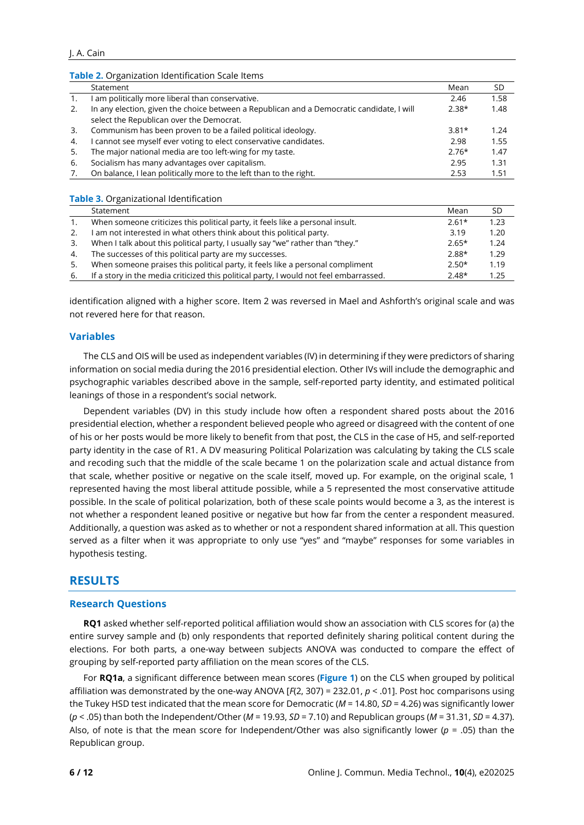## J. A. Cain

#### **Table 2.** Organization Identification Scale Items

|    | ີ                                                                                                                                     |         |      |
|----|---------------------------------------------------------------------------------------------------------------------------------------|---------|------|
|    | Statement                                                                                                                             | Mean    | SD   |
|    | am politically more liberal than conservative.                                                                                        | 2.46    | 1.58 |
| 2. | In any election, given the choice between a Republican and a Democratic candidate, I will<br>select the Republican over the Democrat. | $2.38*$ | 1.48 |
| 3. | Communism has been proven to be a failed political ideology.                                                                          | $3.81*$ | 1.24 |
| 4. | I cannot see myself ever voting to elect conservative candidates.                                                                     | 2.98    | 1.55 |
| 5. | The major national media are too left-wing for my taste.                                                                              | $2.76*$ | 1.47 |
| 6. | Socialism has many advantages over capitalism.                                                                                        | 2.95    | 1.31 |
|    | On balance, I lean politically more to the left than to the right.                                                                    | 2.53    | 1.51 |

#### **Table 3.** Organizational Identification

|    | Statement                                                                              | Mean    | SD   |
|----|----------------------------------------------------------------------------------------|---------|------|
|    | When someone criticizes this political party, it feels like a personal insult.         | $2.61*$ | 1.23 |
|    | am not interested in what others think about this political party.                     | 3.19    | 1.20 |
| 3. | When I talk about this political party, I usually say "we" rather than "they."         | $2.65*$ | 1.24 |
| 4. | The successes of this political party are my successes.                                | $2.88*$ | 1.29 |
| 5. | When someone praises this political party, it feels like a personal compliment         | $2.50*$ | 1.19 |
| 6. | If a story in the media criticized this political party, I would not feel embarrassed. | $2.48*$ | 1.25 |

identification aligned with a higher score. Item 2 was reversed in Mael and Ashforth's original scale and was not revered here for that reason.

#### **Variables**

The CLS and OIS will be used as independent variables (IV) in determining if they were predictors of sharing information on social media during the 2016 presidential election. Other IVs will include the demographic and psychographic variables described above in the sample, self-reported party identity, and estimated political leanings of those in a respondent's social network.

Dependent variables (DV) in this study include how often a respondent shared posts about the 2016 presidential election, whether a respondent believed people who agreed or disagreed with the content of one of his or her posts would be more likely to benefit from that post, the CLS in the case of H5, and self-reported party identity in the case of R1. A DV measuring Political Polarization was calculating by taking the CLS scale and recoding such that the middle of the scale became 1 on the polarization scale and actual distance from that scale, whether positive or negative on the scale itself, moved up. For example, on the original scale, 1 represented having the most liberal attitude possible, while a 5 represented the most conservative attitude possible. In the scale of political polarization, both of these scale points would become a 3, as the interest is not whether a respondent leaned positive or negative but how far from the center a respondent measured. Additionally, a question was asked as to whether or not a respondent shared information at all. This question served as a filter when it was appropriate to only use "yes" and "maybe" responses for some variables in hypothesis testing.

# **RESULTS**

#### **Research Questions**

**RQ1** asked whether self-reported political affiliation would show an association with CLS scores for (a) the entire survey sample and (b) only respondents that reported definitely sharing political content during the elections. For both parts, a one-way between subjects ANOVA was conducted to compare the effect of grouping by self-reported party affiliation on the mean scores of the CLS.

For **RQ1a**, a significant difference between mean scores (**Figure 1**) on the CLS when grouped by political affiliation was demonstrated by the one-way ANOVA [*F*(2, 307) = 232.01, *p* < .01]. Post hoc comparisons using the Tukey HSD test indicated that the mean score for Democratic (*M* = 14.80, *SD* = 4.26) was significantly lower (*p* < .05) than both the Independent/Other (*M* = 19.93, *SD* = 7.10) and Republican groups (*M* = 31.31, *SD* = 4.37). Also, of note is that the mean score for Independent/Other was also significantly lower (*p* = .05) than the Republican group.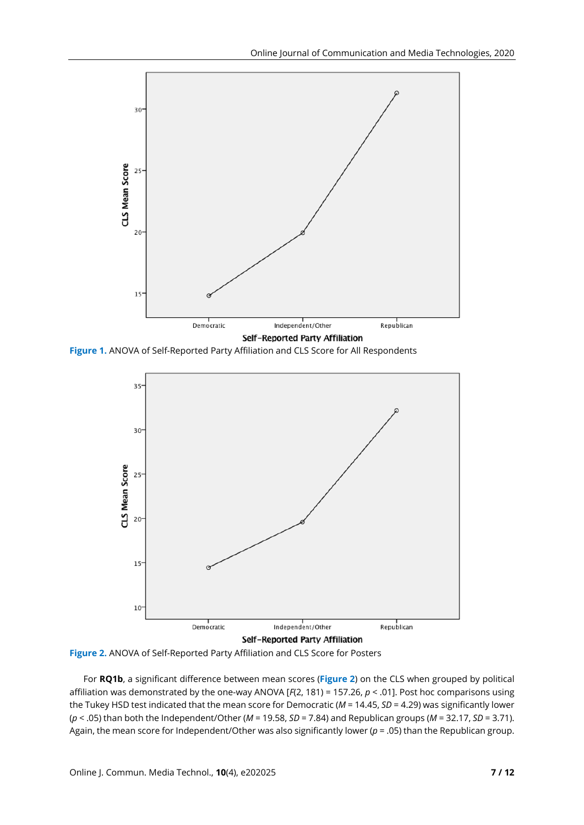

**Figure 1.** ANOVA of Self-Reported Party Affiliation and CLS Score for All Respondents



**Figure 2.** ANOVA of Self-Reported Party Affiliation and CLS Score for Posters

For **RQ1b**, a significant difference between mean scores (**Figure 2**) on the CLS when grouped by political affiliation was demonstrated by the one-way ANOVA [*F*(2, 181) = 157.26, *p* < .01]. Post hoc comparisons using the Tukey HSD test indicated that the mean score for Democratic (*M* = 14.45, *SD* = 4.29) was significantly lower (*p* < .05) than both the Independent/Other (*M* = 19.58, *SD* = 7.84) and Republican groups (*M* = 32.17, *SD* = 3.71). Again, the mean score for Independent/Other was also significantly lower (*p* = .05) than the Republican group.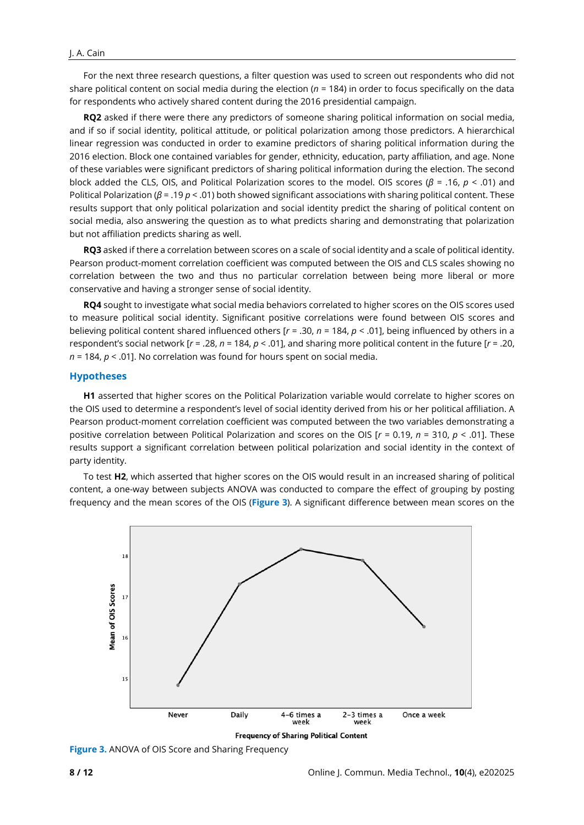For the next three research questions, a filter question was used to screen out respondents who did not share political content on social media during the election (*n* = 184) in order to focus specifically on the data for respondents who actively shared content during the 2016 presidential campaign.

**RQ2** asked if there were there any predictors of someone sharing political information on social media, and if so if social identity, political attitude, or political polarization among those predictors. A hierarchical linear regression was conducted in order to examine predictors of sharing political information during the 2016 election. Block one contained variables for gender, ethnicity, education, party affiliation, and age. None of these variables were significant predictors of sharing political information during the election. The second block added the CLS, OIS, and Political Polarization scores to the model. OIS scores (*β* = .16, *p* < .01) and Political Polarization (*β* = .19 *p* < .01) both showed significant associations with sharing political content. These results support that only political polarization and social identity predict the sharing of political content on social media, also answering the question as to what predicts sharing and demonstrating that polarization but not affiliation predicts sharing as well.

**RQ3** asked if there a correlation between scores on a scale of social identity and a scale of political identity. Pearson product-moment correlation coefficient was computed between the OIS and CLS scales showing no correlation between the two and thus no particular correlation between being more liberal or more conservative and having a stronger sense of social identity.

**RQ4** sought to investigate what social media behaviors correlated to higher scores on the OIS scores used to measure political social identity. Significant positive correlations were found between OIS scores and believing political content shared influenced others [*r* = .30, *n* = 184, *p* < .01], being influenced by others in a respondent's social network [*r* = .28, *n* = 184, *p* < .01], and sharing more political content in the future [*r* = .20, *n* = 184, *p* < .01]. No correlation was found for hours spent on social media.

#### **Hypotheses**

**H1** asserted that higher scores on the Political Polarization variable would correlate to higher scores on the OIS used to determine a respondent's level of social identity derived from his or her political affiliation. A Pearson product-moment correlation coefficient was computed between the two variables demonstrating a positive correlation between Political Polarization and scores on the OIS [*r* = 0.19, *n* = 310, *p* < .01]. These results support a significant correlation between political polarization and social identity in the context of party identity.

To test **H2**, which asserted that higher scores on the OIS would result in an increased sharing of political content, a one-way between subjects ANOVA was conducted to compare the effect of grouping by posting frequency and the mean scores of the OIS (**Figure 3**). A significant difference between mean scores on the



**Frequency of Sharing Political Content** 

**Figure 3.** ANOVA of OIS Score and Sharing Frequency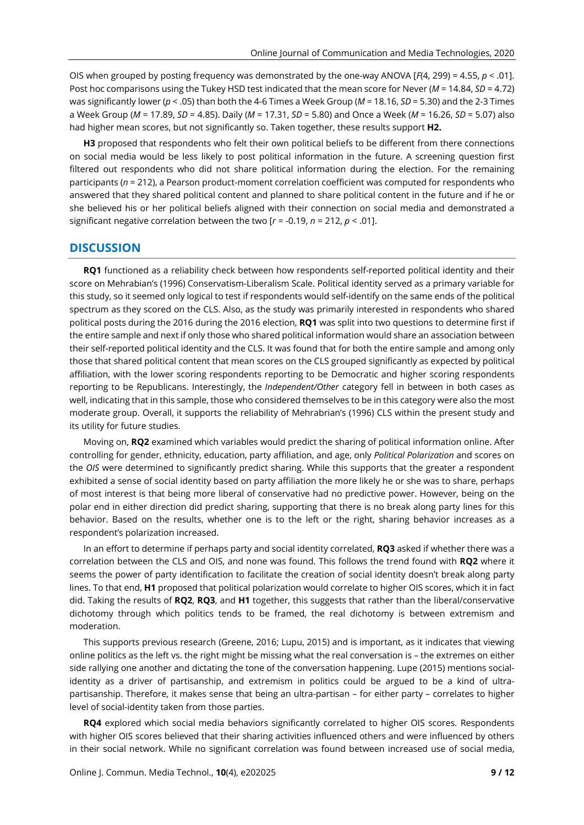OIS when grouped by posting frequency was demonstrated by the one-way ANOVA [*F*(4, 299) = 4.55, *p* < .01]. Post hoc comparisons using the Tukey HSD test indicated that the mean score for Never (*M* = 14.84, *SD* = 4.72) was significantly lower (*p* < .05) than both the 4-6 Times a Week Group (*M* = 18.16, *SD* = 5.30) and the 2-3 Times a Week Group (*M* = 17.89, *SD* = 4.85). Daily (*M* = 17.31, *SD* = 5.80) and Once a Week (*M* = 16.26, *SD* = 5.07) also had higher mean scores, but not significantly so. Taken together, these results support **H2.**

**H3** proposed that respondents who felt their own political beliefs to be different from there connections on social media would be less likely to post political information in the future. A screening question first filtered out respondents who did not share political information during the election. For the remaining participants (*n* = 212), a Pearson product-moment correlation coefficient was computed for respondents who answered that they shared political content and planned to share political content in the future and if he or she believed his or her political beliefs aligned with their connection on social media and demonstrated a significant negative correlation between the two  $[r = -0.19, n = 212, p < 0.01]$ .

## **DISCUSSION**

**RQ1** functioned as a reliability check between how respondents self-reported political identity and their score on Mehrabian's (1996) Conservatism-Liberalism Scale. Political identity served as a primary variable for this study, so it seemed only logical to test if respondents would self-identify on the same ends of the political spectrum as they scored on the CLS. Also, as the study was primarily interested in respondents who shared political posts during the 2016 during the 2016 election, **RQ1** was split into two questions to determine first if the entire sample and next if only those who shared political information would share an association between their self-reported political identity and the CLS. It was found that for both the entire sample and among only those that shared political content that mean scores on the CLS grouped significantly as expected by political affiliation, with the lower scoring respondents reporting to be Democratic and higher scoring respondents reporting to be Republicans. Interestingly, the *Independent/Other* category fell in between in both cases as well, indicating that in this sample, those who considered themselves to be in this category were also the most moderate group. Overall, it supports the reliability of Mehrabrian's (1996) CLS within the present study and its utility for future studies.

Moving on, **RQ2** examined which variables would predict the sharing of political information online. After controlling for gender, ethnicity, education, party affiliation, and age, only *Political Polarization* and scores on the *OIS* were determined to significantly predict sharing. While this supports that the greater a respondent exhibited a sense of social identity based on party affiliation the more likely he or she was to share, perhaps of most interest is that being more liberal of conservative had no predictive power. However, being on the polar end in either direction did predict sharing, supporting that there is no break along party lines for this behavior. Based on the results, whether one is to the left or the right, sharing behavior increases as a respondent's polarization increased.

In an effort to determine if perhaps party and social identity correlated, **RQ3** asked if whether there was a correlation between the CLS and OIS, and none was found. This follows the trend found with **RQ2** where it seems the power of party identification to facilitate the creation of social identity doesn't break along party lines. To that end, **H1** proposed that political polarization would correlate to higher OIS scores, which it in fact did. Taking the results of **RQ2**, **RQ3**, and **H1** together, this suggests that rather than the liberal/conservative dichotomy through which politics tends to be framed, the real dichotomy is between extremism and moderation.

This supports previous research (Greene, 2016; Lupu, 2015) and is important, as it indicates that viewing online politics as the left vs. the right might be missing what the real conversation is – the extremes on either side rallying one another and dictating the tone of the conversation happening. Lupe (2015) mentions socialidentity as a driver of partisanship, and extremism in politics could be argued to be a kind of ultrapartisanship. Therefore, it makes sense that being an ultra-partisan – for either party – correlates to higher level of social-identity taken from those parties.

**RQ4** explored which social media behaviors significantly correlated to higher OIS scores. Respondents with higher OIS scores believed that their sharing activities influenced others and were influenced by others in their social network. While no significant correlation was found between increased use of social media,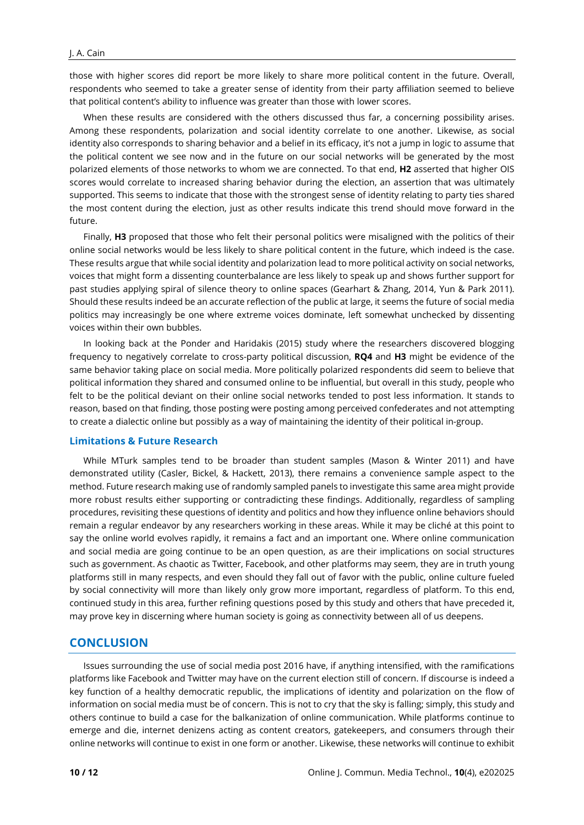those with higher scores did report be more likely to share more political content in the future. Overall, respondents who seemed to take a greater sense of identity from their party affiliation seemed to believe that political content's ability to influence was greater than those with lower scores.

When these results are considered with the others discussed thus far, a concerning possibility arises. Among these respondents, polarization and social identity correlate to one another. Likewise, as social identity also corresponds to sharing behavior and a belief in its efficacy, it's not a jump in logic to assume that the political content we see now and in the future on our social networks will be generated by the most polarized elements of those networks to whom we are connected. To that end, **H2** asserted that higher OIS scores would correlate to increased sharing behavior during the election, an assertion that was ultimately supported. This seems to indicate that those with the strongest sense of identity relating to party ties shared the most content during the election, just as other results indicate this trend should move forward in the future.

Finally, **H3** proposed that those who felt their personal politics were misaligned with the politics of their online social networks would be less likely to share political content in the future, which indeed is the case. These results argue that while social identity and polarization lead to more political activity on social networks, voices that might form a dissenting counterbalance are less likely to speak up and shows further support for past studies applying spiral of silence theory to online spaces (Gearhart & Zhang, 2014, Yun & Park 2011). Should these results indeed be an accurate reflection of the public at large, it seems the future of social media politics may increasingly be one where extreme voices dominate, left somewhat unchecked by dissenting voices within their own bubbles.

In looking back at the Ponder and Haridakis (2015) study where the researchers discovered blogging frequency to negatively correlate to cross-party political discussion, **RQ4** and **H3** might be evidence of the same behavior taking place on social media. More politically polarized respondents did seem to believe that political information they shared and consumed online to be influential, but overall in this study, people who felt to be the political deviant on their online social networks tended to post less information. It stands to reason, based on that finding, those posting were posting among perceived confederates and not attempting to create a dialectic online but possibly as a way of maintaining the identity of their political in-group.

#### **Limitations & Future Research**

While MTurk samples tend to be broader than student samples (Mason & Winter 2011) and have demonstrated utility (Casler, Bickel, & Hackett, 2013), there remains a convenience sample aspect to the method. Future research making use of randomly sampled panels to investigate this same area might provide more robust results either supporting or contradicting these findings. Additionally, regardless of sampling procedures, revisiting these questions of identity and politics and how they influence online behaviors should remain a regular endeavor by any researchers working in these areas. While it may be cliché at this point to say the online world evolves rapidly, it remains a fact and an important one. Where online communication and social media are going continue to be an open question, as are their implications on social structures such as government. As chaotic as Twitter, Facebook, and other platforms may seem, they are in truth young platforms still in many respects, and even should they fall out of favor with the public, online culture fueled by social connectivity will more than likely only grow more important, regardless of platform. To this end, continued study in this area, further refining questions posed by this study and others that have preceded it, may prove key in discerning where human society is going as connectivity between all of us deepens.

## **CONCLUSION**

Issues surrounding the use of social media post 2016 have, if anything intensified, with the ramifications platforms like Facebook and Twitter may have on the current election still of concern. If discourse is indeed a key function of a healthy democratic republic, the implications of identity and polarization on the flow of information on social media must be of concern. This is not to cry that the sky is falling; simply, this study and others continue to build a case for the balkanization of online communication. While platforms continue to emerge and die, internet denizens acting as content creators, gatekeepers, and consumers through their online networks will continue to exist in one form or another. Likewise, these networks will continue to exhibit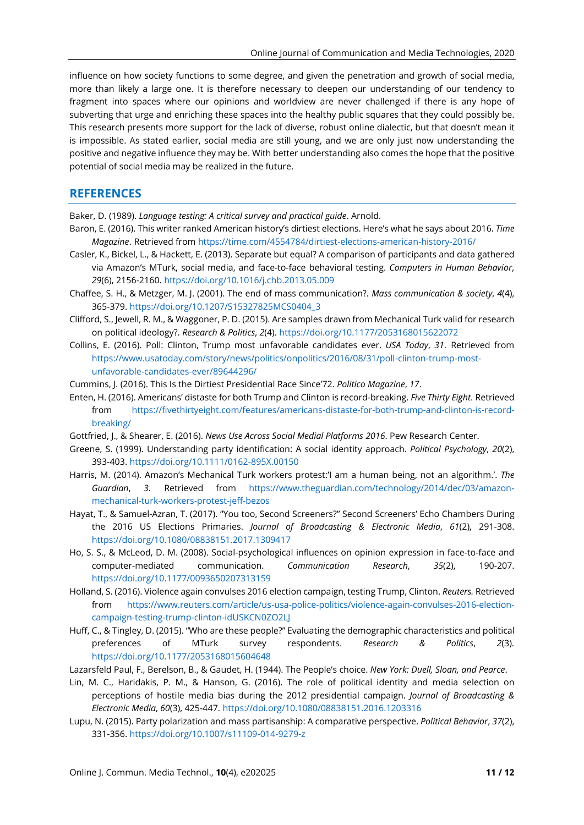influence on how society functions to some degree, and given the penetration and growth of social media, more than likely a large one. It is therefore necessary to deepen our understanding of our tendency to fragment into spaces where our opinions and worldview are never challenged if there is any hope of subverting that urge and enriching these spaces into the healthy public squares that they could possibly be. This research presents more support for the lack of diverse, robust online dialectic, but that doesn't mean it is impossible. As stated earlier, social media are still young, and we are only just now understanding the positive and negative influence they may be. With better understanding also comes the hope that the positive potential of social media may be realized in the future.

# **REFERENCES**

Baker, D. (1989). *Language testing: A critical survey and practical guide*. Arnold.

- Baron, E. (2016). This writer ranked American history's dirtiest elections. Here's what he says about 2016. *Time Magazine*. Retrieved from<https://time.com/4554784/dirtiest-elections-american-history-2016/>
- Casler, K., Bickel, L., & Hackett, E. (2013). Separate but equal? A comparison of participants and data gathered via Amazon's MTurk, social media, and face-to-face behavioral testing. *Computers in Human Behavior*, *29*(6), 2156-2160. <https://doi.org/10.1016/j.chb.2013.05.009>
- Chaffee, S. H., & Metzger, M. J. (2001). The end of mass communication?. *Mass communication & society*, *4*(4), 365-379. [https://doi.org/10.1207/S15327825MCS0404\\_3](https://doi.org/10.1207/S15327825MCS0404_3)
- Clifford, S., Jewell, R. M., & Waggoner, P. D. (2015). Are samples drawn from Mechanical Turk valid for research on political ideology?. *Research & Politics*, *2*(4). <https://doi.org/10.1177/2053168015622072>
- Collins, E. (2016). Poll: Clinton, Trump most unfavorable candidates ever. *USA Today*, *31*. Retrieved from [https://www.usatoday.com/story/news/politics/onpolitics/2016/08/31/poll-clinton-trump-most](https://www.usatoday.com/story/news/politics/onpolitics/2016/08/31/poll-clinton-trump-most-unfavorable-candidates-ever/89644296/)[unfavorable-candidates-ever/89644296/](https://www.usatoday.com/story/news/politics/onpolitics/2016/08/31/poll-clinton-trump-most-unfavorable-candidates-ever/89644296/)
- Cummins, J. (2016). This Is the Dirtiest Presidential Race Since'72. *Politico Magazine*, *17*.
- Enten, H. (2016). Americans' distaste for both Trump and Clinton is record-breaking. *Five Thirty Eight*. Retrieved from [https://fivethirtyeight.com/features/americans-distaste-for-both-trump-and-clinton-is-record](https://fivethirtyeight.com/features/americans-distaste-for-both-trump-and-clinton-is-record-breaking/)[breaking/](https://fivethirtyeight.com/features/americans-distaste-for-both-trump-and-clinton-is-record-breaking/)

Gottfried, J., & Shearer, E. (2016). *News Use Across Social Medial Platforms 2016*. Pew Research Center.

- Greene, S. (1999). Understanding party identification: A social identity approach. *Political Psychology*, *20*(2), 393-403. <https://doi.org/10.1111/0162-895X.00150>
- Harris, M. (2014). Amazon's Mechanical Turk workers protest:'I am a human being, not an algorithm.'. *The Guardian*, *3*. Retrieved from [https://www.theguardian.com/technology/2014/dec/03/amazon](https://www.theguardian.com/technology/2014/dec/03/amazon-mechanical-turk-workers-protest-jeff-bezos)[mechanical-turk-workers-protest-jeff-bezos](https://www.theguardian.com/technology/2014/dec/03/amazon-mechanical-turk-workers-protest-jeff-bezos)
- Hayat, T., & Samuel-Azran, T. (2017). "You too, Second Screeners?" Second Screeners' Echo Chambers During the 2016 US Elections Primaries. *Journal of Broadcasting & Electronic Media*, *61*(2), 291-308. <https://doi.org/10.1080/08838151.2017.1309417>
- Ho, S. S., & McLeod, D. M. (2008). Social-psychological influences on opinion expression in face-to-face and computer-mediated communication. *Communication Research*, *35*(2), 190-207. <https://doi.org/10.1177/0093650207313159>
- Holland, S. (2016). Violence again convulses 2016 election campaign, testing Trump, Clinton. *Reuters.* Retrieved from [https://www.reuters.com/article/us-usa-police-politics/violence-again-convulses-2016-election](https://www.reuters.com/article/us-usa-police-politics/violence-again-convulses-2016-election-campaign-testing-trump-clinton-idUSKCN0ZO2LJ)[campaign-testing-trump-clinton-idUSKCN0ZO2LJ](https://www.reuters.com/article/us-usa-police-politics/violence-again-convulses-2016-election-campaign-testing-trump-clinton-idUSKCN0ZO2LJ)
- Huff, C., & Tingley, D. (2015). "Who are these people?" Evaluating the demographic characteristics and political preferences of MTurk survey respondents. *Research & Politics*, *2*(3). <https://doi.org/10.1177/2053168015604648>
- Lazarsfeld Paul, F., Berelson, B., & Gaudet, H. (1944). The People's choice. *New York: Duell, Sloan, and Pearce*.
- Lin, M. C., Haridakis, P. M., & Hanson, G. (2016). The role of political identity and media selection on perceptions of hostile media bias during the 2012 presidential campaign. *Journal of Broadcasting & Electronic Media*, *60*(3), 425-447. <https://doi.org/10.1080/08838151.2016.1203316>
- Lupu, N. (2015). Party polarization and mass partisanship: A comparative perspective. *Political Behavior*, *37*(2), 331-356. <https://doi.org/10.1007/s11109-014-9279-z>